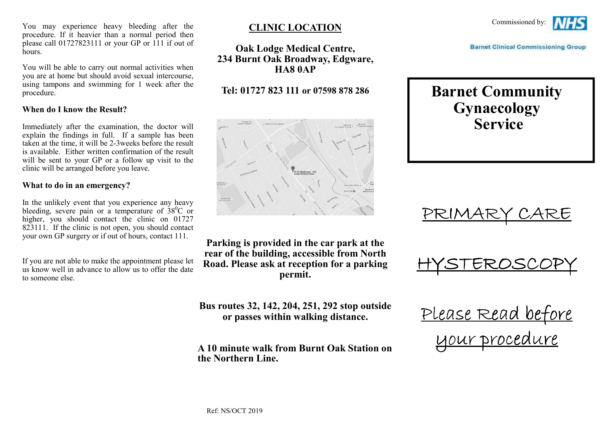You may experience heavy bleeding after the procedure. If it heavier than a normal period then please call 01727823111 or your GP or 111 if out ofhours.

You will be able to carry out normal activities when you are at home but should avoid sexual intercourse, using tampons and swimming for 1 week after the procedure.

#### **When do I know the Result?**

Immediately after the examination, the doctor will explain the findings in full. If a sample has been taken at the time, it will be 2-3weeks before the result is available. Either written confirmation of the result will be sent to your GP or a follow up visit to theclinic will be arranged before you leave.

#### **What to do in an emergency?**

In the unlikely event that you experience any heavybleeding, severe pain or a temperature of  $38^{\circ}$ C or higher, you should contact the clinic on 01727 823111. If the clinic is not open, you should contact your own GP surgery or if out of hours, contact 111.

If you are not able to make the appointment please let us know well in advance to allow us to offer the date to someone else.

## **CLINIC LOCATION**

**Oak Lodge Medical Centre, 234 Burnt Oak Broadway, Edgware, HA8 0AP** 

## **Tel: 01727 823 111 or 07598 878 286**



**Parking is provided in the car park at the rear of the building, accessible from North Road. Please ask at reception for a parking permit.** 

**Bus routes 32, 142, 204, 251, 292 stop outside or passes within walking distance.** 

**A 10 minute walk from Burnt Oak Station on the Northern Line.**



**Barnet Clinical Commissioning Group** 

# **Barnet Community Gynaecology Service**





Please Read before your procedure